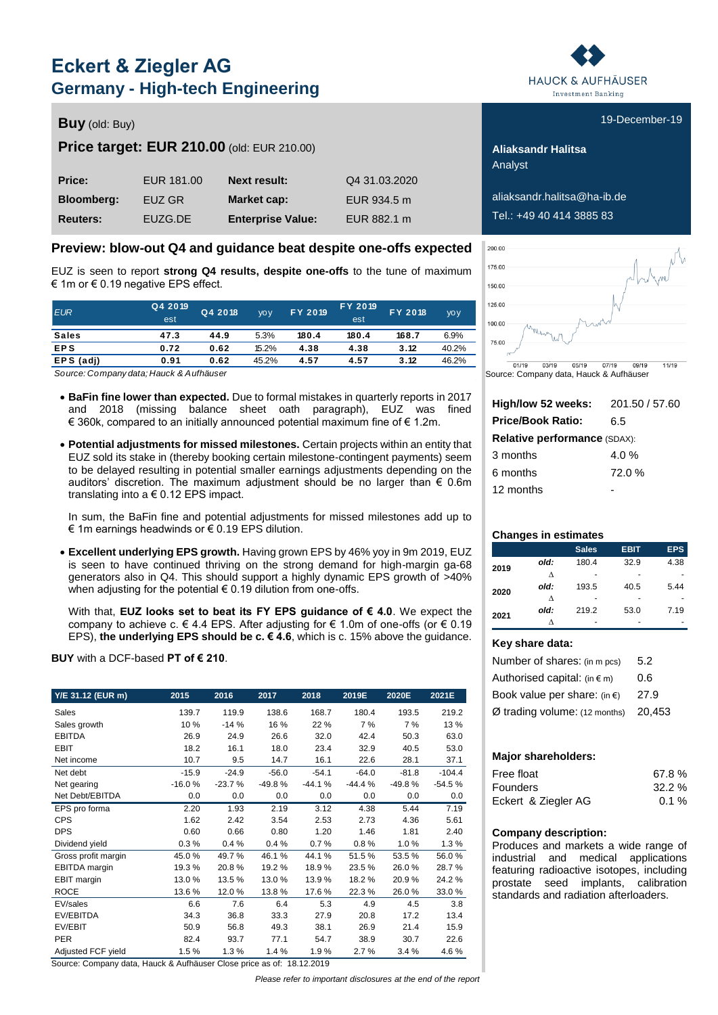# **Eckert & Ziegler AG Germany - High-tech Engineering**

### **Buy** (old: Buy) **Buy** (old: Buy) **19-December-19**

### **Price target: EUR 210.00** (old: EUR 210.00) **Aliaksandr Halitsa**

| Price:            | EUR 181.00 | <b>Next result:</b>      | Q4 31,03,2020 |
|-------------------|------------|--------------------------|---------------|
| <b>Bloomberg:</b> | EUZ GR     | Market cap:              | EUR 934.5 m   |
| <b>Reuters:</b>   | EUZG.DE    | <b>Enterprise Value:</b> | EUR 882.1 m   |

### **Preview: blow-out Q4 and guidance beat despite one-offs expected**

EUZ is seen to report **strong Q4 results, despite one-offs** to the tune of maximum € 1m or € 0.19 negative EPS effect.

| € 1m or € 0.19 negative EPS effect.     |                |         |             |         |                       |         |             |  |  |  |
|-----------------------------------------|----------------|---------|-------------|---------|-----------------------|---------|-------------|--|--|--|
| <b>EUR</b>                              | Q4 2019<br>est | Q4 2018 | <b>VO V</b> | FY 2019 | <b>FY 2019</b><br>est | FY 2018 | <b>VO V</b> |  |  |  |
| <b>Sales</b>                            | 47.3           | 44.9    | 5.3%        | 180.4   | 180.4                 | 168.7   | 6.9%        |  |  |  |
| <b>EPS</b>                              | 0.72           | 0.62    | 15.2%       | 4.38    | 4.38                  | 3.12    | 40.2%       |  |  |  |
| EPS (adj)                               | 0.91           | 0.62    | 45.2%       | 4.57    | 4.57                  | 3.12    | 46.2%       |  |  |  |
| Source: Company data: Hauck & Aufhäuser |                |         |             |         |                       |         |             |  |  |  |

*Source: Company data; Hauck & Aufhäuser*

- **BaFin fine lower than expected.** Due to formal mistakes in quarterly reports in 2017 and 2018 (missing balance sheet oath paragraph), EUZ was fined € 360k, compared to an initially announced potential maximum fine of € 1.2m.
- **Potential adjustments for missed milestones.** Certain projects within an entity that EUZ sold its stake in (thereby booking certain milestone-contingent payments) seem to be delayed resulting in potential smaller earnings adjustments depending on the auditors' discretion. The maximum adjustment should be no larger than  $\epsilon$  0.6m translating into a  $\epsilon$  0.12 EPS impact.

In sum, the BaFin fine and potential adjustments for missed milestones add up to € 1m earnings headwinds or € 0.19 EPS dilution.

 **Excellent underlying EPS growth.** Having grown EPS by 46% yoy in 9m 2019, EUZ is seen to have continued thriving on the strong demand for high-margin ga-68 generators also in Q4. This should support a highly dynamic EPS growth of >40% when adjusting for the potential  $\epsilon$  0.19 dilution from one-offs.

With that, **EUZ looks set to beat its FY EPS guidance of € 4.0**. We expect the company to achieve c.  $\in$  4.4 EPS. After adjusting for  $\in$  1.0m of one-offs (or  $\in$  0.19 EPS), **the underlying EPS should be c. € 4.6**, which is c. 15% above the guidance.

#### **BUY** with a DCF-based **PT of € 210**.

| Y/E 31.12 (EUR m)    | 2015     | 2016     | 2017     | 2018     | 2019E    | 2020E    | 2021E    |
|----------------------|----------|----------|----------|----------|----------|----------|----------|
| Sales                | 139.7    | 119.9    | 138.6    | 168.7    | 180.4    | 193.5    | 219.2    |
| Sales growth         | 10 %     | $-14%$   | 16 %     | 22 %     | 7%       | 7%       | 13 %     |
| <b>EBITDA</b>        | 26.9     | 24.9     | 26.6     | 32.0     | 42.4     | 50.3     | 63.0     |
| <b>EBIT</b>          | 18.2     | 16.1     | 18.0     | 23.4     | 32.9     | 40.5     | 53.0     |
| Net income           | 10.7     | 9.5      | 14.7     | 16.1     | 22.6     | 28.1     | 37.1     |
| Net debt             | $-15.9$  | $-24.9$  | $-56.0$  | $-54.1$  | $-64.0$  | $-81.8$  | $-104.4$ |
| Net gearing          | $-16.0%$ | $-23.7%$ | $-49.8%$ | $-44.1%$ | $-44.4%$ | $-49.8%$ | $-54.5%$ |
| Net Debt/EBITDA      | 0.0      | 0.0      | 0.0      | 0.0      | 0.0      | 0.0      | 0.0      |
| EPS pro forma        | 2.20     | 1.93     | 2.19     | 3.12     | 4.38     | 5.44     | 7.19     |
| <b>CPS</b>           | 1.62     | 2.42     | 3.54     | 2.53     | 2.73     | 4.36     | 5.61     |
| <b>DPS</b>           | 0.60     | 0.66     | 0.80     | 1.20     | 1.46     | 1.81     | 2.40     |
| Dividend yield       | 0.3%     | 0.4%     | 0.4%     | 0.7%     | 0.8%     | 1.0%     | 1.3%     |
| Gross profit margin  | 45.0%    | 49.7%    | 46.1%    | 44.1%    | 51.5%    | 53.5%    | 56.0%    |
| <b>EBITDA</b> margin | 19.3%    | 20.8%    | 19.2%    | 18.9%    | 23.5%    | 26.0%    | 28.7%    |
| EBIT margin          | 13.0%    | 13.5%    | 13.0%    | 13.9%    | 18.2%    | 20.9%    | 24.2%    |
| <b>ROCE</b>          | 13.6%    | 12.0%    | 13.8%    | 17.6%    | 22.3%    | 26.0%    | 33.0%    |
| EV/sales             | 6.6      | 7.6      | 6.4      | 5.3      | 4.9      | 4.5      | 3.8      |
| EV/EBITDA            | 34.3     | 36.8     | 33.3     | 27.9     | 20.8     | 17.2     | 13.4     |
| EV/EBIT              | 50.9     | 56.8     | 49.3     | 38.1     | 26.9     | 21.4     | 15.9     |
| <b>PER</b>           | 82.4     | 93.7     | 77.1     | 54.7     | 38.9     | 30.7     | 22.6     |
| Adjusted FCF yield   | 1.5%     | 1.3%     | 1.4%     | 1.9%     | 2.7%     | 3.4%     | 4.6%     |

Source: Company data, Hauck & Aufhäuser Close price as of: 18.12.2019

*Please refer to important disclosures at the end of the report*



Analyst

**Bloomberg:** EUZ GR **Market cap:** EUR 934.5 m aliaksandr.halitsa@ha-ib.de Tel.: +49 40 414 3885 83



Source: Company data, Hauck & Aufhäuser

| High/low 52 weeks:           | 201.50 / 57.60 |
|------------------------------|----------------|
| <b>Price/Book Ratio:</b>     | 6.5            |
| Relative performance (SDAX): |                |
| 3 months                     | 4.0 $%$        |
| 6 months                     | 72.0%          |
| 12 months                    |                |

#### **Changes in estimates**

|      |      | <b>Sales</b> | <b>EBIT</b> | <b>EPS</b> |
|------|------|--------------|-------------|------------|
|      | old: | 180.4        | 32.9        | 4.38       |
| 2019 |      |              |             |            |
|      | л    |              |             |            |
| 2020 | old: | 193.5        | 40.5        | 5.44       |
|      | л    |              |             |            |
| 2021 | old: | 219.2        | 53.0        | 7.19       |
|      |      | -            |             |            |

#### **Key share data:**

| Number of shares: (in m pcs)           | 5.2    |
|----------------------------------------|--------|
| Authorised capital: $(in \in m)$       | 0.6    |
| Book value per share: (in $\epsilon$ ) | 27.9   |
| Ø trading volume: (12 months)          | 20.453 |

#### **Major shareholders:**

| Free float          | 67.8%    |
|---------------------|----------|
| <b>Founders</b>     | 32.2%    |
| Eckert & Ziegler AG | $0.1 \%$ |

#### **Company description:**

Produces and markets a wide range of industrial and medical applications featuring radioactive isotopes, including prostate seed implants, calibration standards and radiation afterloaders.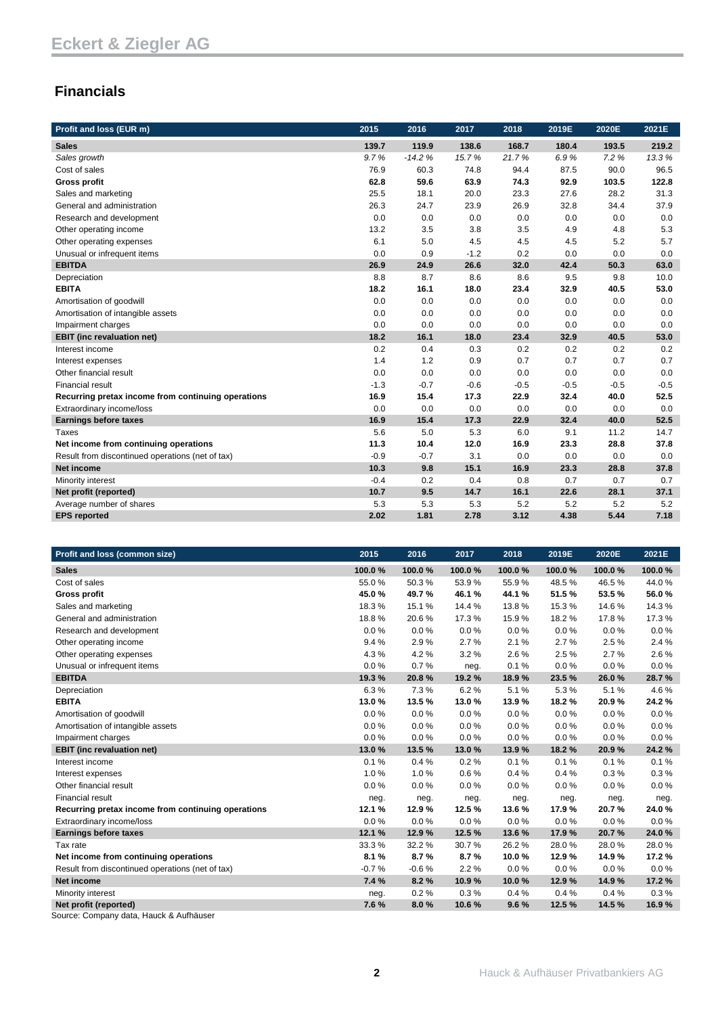## **Financials**

| Profit and loss (EUR m)                            | 2015   | 2016     | 2017   | 2018   | 2019E  | 2020E  | 2021E  |
|----------------------------------------------------|--------|----------|--------|--------|--------|--------|--------|
| <b>Sales</b>                                       | 139.7  | 119.9    | 138.6  | 168.7  | 180.4  | 193.5  | 219.2  |
| Sales growth                                       | 9.7%   | $-14.2%$ | 15.7%  | 21.7%  | 6.9%   | 7.2%   | 13.3%  |
| Cost of sales                                      | 76.9   | 60.3     | 74.8   | 94.4   | 87.5   | 90.0   | 96.5   |
| <b>Gross profit</b>                                | 62.8   | 59.6     | 63.9   | 74.3   | 92.9   | 103.5  | 122.8  |
| Sales and marketing                                | 25.5   | 18.1     | 20.0   | 23.3   | 27.6   | 28.2   | 31.3   |
| General and administration                         | 26.3   | 24.7     | 23.9   | 26.9   | 32.8   | 34.4   | 37.9   |
| Research and development                           | 0.0    | 0.0      | 0.0    | 0.0    | 0.0    | 0.0    | 0.0    |
| Other operating income                             | 13.2   | 3.5      | 3.8    | 3.5    | 4.9    | 4.8    | 5.3    |
| Other operating expenses                           | 6.1    | 5.0      | 4.5    | 4.5    | 4.5    | 5.2    | 5.7    |
| Unusual or infrequent items                        | 0.0    | 0.9      | $-1.2$ | 0.2    | 0.0    | 0.0    | 0.0    |
| <b>EBITDA</b>                                      | 26.9   | 24.9     | 26.6   | 32.0   | 42.4   | 50.3   | 63.0   |
| Depreciation                                       | 8.8    | 8.7      | 8.6    | 8.6    | 9.5    | 9.8    | 10.0   |
| <b>EBITA</b>                                       | 18.2   | 16.1     | 18.0   | 23.4   | 32.9   | 40.5   | 53.0   |
| Amortisation of goodwill                           | 0.0    | 0.0      | 0.0    | 0.0    | 0.0    | 0.0    | 0.0    |
| Amortisation of intangible assets                  | 0.0    | 0.0      | 0.0    | 0.0    | 0.0    | 0.0    | 0.0    |
| Impairment charges                                 | 0.0    | 0.0      | 0.0    | 0.0    | 0.0    | 0.0    | 0.0    |
| <b>EBIT</b> (inc revaluation net)                  | 18.2   | 16.1     | 18.0   | 23.4   | 32.9   | 40.5   | 53.0   |
| Interest income                                    | 0.2    | 0.4      | 0.3    | 0.2    | 0.2    | 0.2    | 0.2    |
| Interest expenses                                  | 1.4    | 1.2      | 0.9    | 0.7    | 0.7    | 0.7    | 0.7    |
| Other financial result                             | 0.0    | 0.0      | 0.0    | 0.0    | 0.0    | 0.0    | 0.0    |
| <b>Financial result</b>                            | $-1.3$ | $-0.7$   | $-0.6$ | $-0.5$ | $-0.5$ | $-0.5$ | $-0.5$ |
| Recurring pretax income from continuing operations | 16.9   | 15.4     | 17.3   | 22.9   | 32.4   | 40.0   | 52.5   |
| Extraordinary income/loss                          | 0.0    | 0.0      | 0.0    | 0.0    | 0.0    | 0.0    | 0.0    |
| <b>Earnings before taxes</b>                       | 16.9   | 15.4     | 17.3   | 22.9   | 32.4   | 40.0   | 52.5   |
| Taxes                                              | 5.6    | 5.0      | 5.3    | 6.0    | 9.1    | 11.2   | 14.7   |
| Net income from continuing operations              | 11.3   | 10.4     | 12.0   | 16.9   | 23.3   | 28.8   | 37.8   |
| Result from discontinued operations (net of tax)   | $-0.9$ | $-0.7$   | 3.1    | 0.0    | 0.0    | 0.0    | 0.0    |
| <b>Net income</b>                                  | 10.3   | 9.8      | 15.1   | 16.9   | 23.3   | 28.8   | 37.8   |
| Minority interest                                  | $-0.4$ | 0.2      | 0.4    | 0.8    | 0.7    | 0.7    | 0.7    |
| Net profit (reported)                              | 10.7   | 9.5      | 14.7   | 16.1   | 22.6   | 28.1   | 37.1   |
| Average number of shares                           | 5.3    | 5.3      | 5.3    | 5.2    | 5.2    | 5.2    | 5.2    |
| <b>EPS</b> reported                                | 2.02   | 1.81     | 2.78   | 3.12   | 4.38   | 5.44   | 7.18   |

| Profit and loss (common size)                      | 2015    | 2016    | 2017   | 2018   | 2019E  | 2020E  | 2021E  |
|----------------------------------------------------|---------|---------|--------|--------|--------|--------|--------|
| <b>Sales</b>                                       | 100.0%  | 100.0%  | 100.0% | 100.0% | 100.0% | 100.0% | 100.0% |
| Cost of sales                                      | 55.0%   | 50.3%   | 53.9%  | 55.9%  | 48.5%  | 46.5%  | 44.0%  |
| <b>Gross profit</b>                                | 45.0%   | 49.7%   | 46.1%  | 44.1%  | 51.5%  | 53.5%  | 56.0%  |
| Sales and marketing                                | 18.3%   | 15.1%   | 14.4%  | 13.8%  | 15.3%  | 14.6%  | 14.3%  |
| General and administration                         | 18.8%   | 20.6%   | 17.3%  | 15.9%  | 18.2%  | 17.8%  | 17.3%  |
| Research and development                           | 0.0%    | 0.0%    | 0.0%   | 0.0%   | 0.0%   | 0.0%   | 0.0%   |
| Other operating income                             | 9.4%    | 2.9%    | 2.7%   | 2.1%   | 2.7%   | 2.5%   | 2.4%   |
| Other operating expenses                           | 4.3%    | 4.2%    | 3.2%   | 2.6%   | 2.5%   | 2.7%   | 2.6%   |
| Unusual or infrequent items                        | 0.0%    | 0.7%    | neg.   | 0.1%   | 0.0%   | 0.0%   | 0.0%   |
| <b>EBITDA</b>                                      | 19.3%   | 20.8%   | 19.2%  | 18.9%  | 23.5%  | 26.0%  | 28.7%  |
| Depreciation                                       | 6.3%    | 7.3%    | 6.2%   | 5.1%   | 5.3%   | 5.1%   | 4.6%   |
| <b>EBITA</b>                                       | 13.0%   | 13.5%   | 13.0%  | 13.9%  | 18.2%  | 20.9%  | 24.2%  |
| Amortisation of goodwill                           | 0.0%    | 0.0%    | 0.0%   | 0.0%   | 0.0%   | 0.0%   | 0.0%   |
| Amortisation of intangible assets                  | 0.0%    | $0.0\%$ | 0.0%   | 0.0%   | 0.0%   | 0.0%   | 0.0%   |
| Impairment charges                                 | 0.0%    | 0.0%    | 0.0%   | 0.0%   | 0.0%   | 0.0%   | 0.0%   |
| <b>EBIT</b> (inc revaluation net)                  | 13.0%   | 13.5%   | 13.0%  | 13.9%  | 18.2 % | 20.9%  | 24.2%  |
| Interest income                                    | 0.1%    | 0.4%    | 0.2%   | 0.1%   | 0.1%   | 0.1%   | 0.1%   |
| Interest expenses                                  | 1.0%    | 1.0%    | 0.6%   | 0.4%   | 0.4%   | 0.3%   | 0.3%   |
| Other financial result                             | 0.0%    | 0.0%    | 0.0%   | 0.0%   | 0.0%   | 0.0%   | 0.0%   |
| <b>Financial result</b>                            | neg.    | neg.    | neg.   | neg.   | neg.   | neg.   | neg.   |
| Recurring pretax income from continuing operations | 12.1%   | 12.9%   | 12.5%  | 13.6 % | 17.9%  | 20.7%  | 24.0%  |
| Extraordinary income/loss                          | 0.0%    | 0.0%    | 0.0%   | 0.0%   | 0.0%   | 0.0%   | 0.0%   |
| <b>Earnings before taxes</b>                       | 12.1 %  | 12.9%   | 12.5 % | 13.6%  | 17.9%  | 20.7%  | 24.0%  |
| Tax rate                                           | 33.3%   | 32.2%   | 30.7%  | 26.2%  | 28.0%  | 28.0%  | 28.0%  |
| Net income from continuing operations              | 8.1%    | 8.7%    | 8.7%   | 10.0%  | 12.9%  | 14.9%  | 17.2 % |
| Result from discontinued operations (net of tax)   | $-0.7%$ | $-0.6%$ | 2.2%   | 0.0%   | 0.0%   | 0.0%   | 0.0%   |
| <b>Net income</b>                                  | 7.4 %   | 8.2%    | 10.9%  | 10.0%  | 12.9%  | 14.9%  | 17.2%  |
| Minority interest                                  | neg.    | 0.2%    | 0.3%   | 0.4%   | 0.4%   | 0.4%   | 0.3%   |
| Net profit (reported)                              | 7.6%    | 8.0%    | 10.6%  | 9.6%   | 12.5%  | 14.5%  | 16.9%  |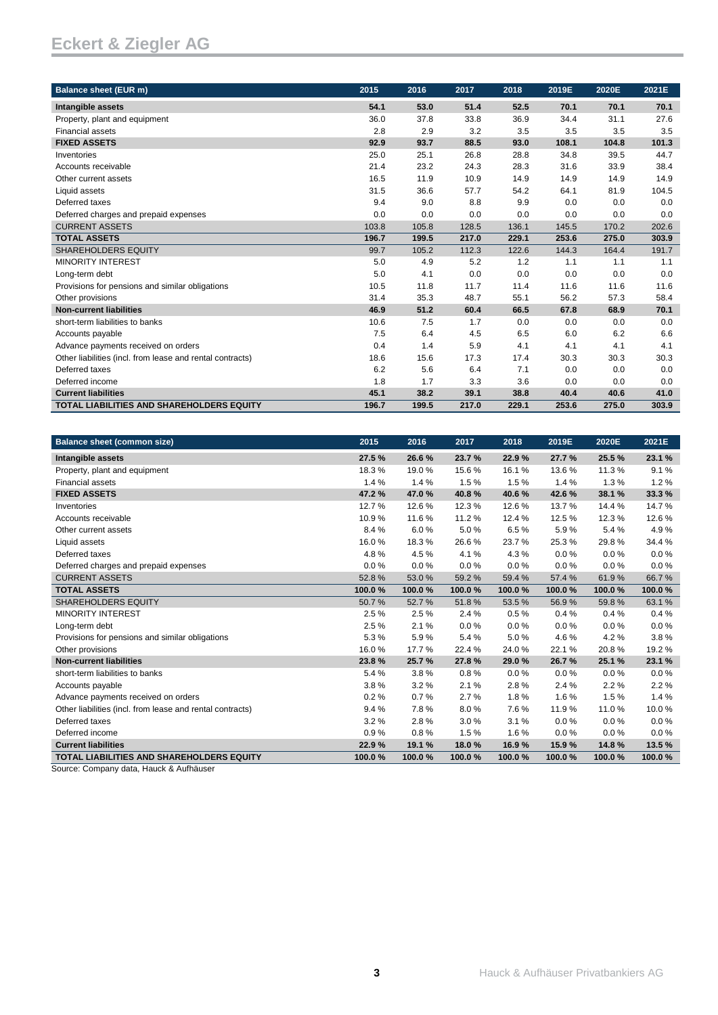| <b>Balance sheet (EUR m)</b>                              | 2015  | 2016  | 2017  | 2018  | 2019E | 2020E | 2021E |
|-----------------------------------------------------------|-------|-------|-------|-------|-------|-------|-------|
| Intangible assets                                         | 54.1  | 53.0  | 51.4  | 52.5  | 70.1  | 70.1  | 70.1  |
| Property, plant and equipment                             | 36.0  | 37.8  | 33.8  | 36.9  | 34.4  | 31.1  | 27.6  |
| <b>Financial assets</b>                                   | 2.8   | 2.9   | 3.2   | 3.5   | 3.5   | 3.5   | 3.5   |
| <b>FIXED ASSETS</b>                                       | 92.9  | 93.7  | 88.5  | 93.0  | 108.1 | 104.8 | 101.3 |
| Inventories                                               | 25.0  | 25.1  | 26.8  | 28.8  | 34.8  | 39.5  | 44.7  |
| Accounts receivable                                       | 21.4  | 23.2  | 24.3  | 28.3  | 31.6  | 33.9  | 38.4  |
| Other current assets                                      | 16.5  | 11.9  | 10.9  | 14.9  | 14.9  | 14.9  | 14.9  |
| Liquid assets                                             | 31.5  | 36.6  | 57.7  | 54.2  | 64.1  | 81.9  | 104.5 |
| Deferred taxes                                            | 9.4   | 9.0   | 8.8   | 9.9   | 0.0   | 0.0   | 0.0   |
| Deferred charges and prepaid expenses                     | 0.0   | 0.0   | 0.0   | 0.0   | 0.0   | 0.0   | 0.0   |
| <b>CURRENT ASSETS</b>                                     | 103.8 | 105.8 | 128.5 | 136.1 | 145.5 | 170.2 | 202.6 |
| <b>TOTAL ASSETS</b>                                       | 196.7 | 199.5 | 217.0 | 229.1 | 253.6 | 275.0 | 303.9 |
| <b>SHAREHOLDERS EQUITY</b>                                | 99.7  | 105.2 | 112.3 | 122.6 | 144.3 | 164.4 | 191.7 |
| <b>MINORITY INTEREST</b>                                  | 5.0   | 4.9   | 5.2   | 1.2   | 1.1   | 1.1   | 1.1   |
| Long-term debt                                            | 5.0   | 4.1   | 0.0   | 0.0   | 0.0   | 0.0   | 0.0   |
| Provisions for pensions and similar obligations           | 10.5  | 11.8  | 11.7  | 11.4  | 11.6  | 11.6  | 11.6  |
| Other provisions                                          | 31.4  | 35.3  | 48.7  | 55.1  | 56.2  | 57.3  | 58.4  |
| <b>Non-current liabilities</b>                            | 46.9  | 51.2  | 60.4  | 66.5  | 67.8  | 68.9  | 70.1  |
| short-term liabilities to banks                           | 10.6  | 7.5   | 1.7   | 0.0   | 0.0   | 0.0   | 0.0   |
| Accounts payable                                          | 7.5   | 6.4   | 4.5   | 6.5   | 6.0   | 6.2   | 6.6   |
| Advance payments received on orders                       | 0.4   | 1.4   | 5.9   | 4.1   | 4.1   | 4.1   | 4.1   |
| Other liabilities (incl. from lease and rental contracts) | 18.6  | 15.6  | 17.3  | 17.4  | 30.3  | 30.3  | 30.3  |
| Deferred taxes                                            | 6.2   | 5.6   | 6.4   | 7.1   | 0.0   | 0.0   | 0.0   |
| Deferred income                                           | 1.8   | 1.7   | 3.3   | 3.6   | 0.0   | 0.0   | 0.0   |
| <b>Current liabilities</b>                                | 45.1  | 38.2  | 39.1  | 38.8  | 40.4  | 40.6  | 41.0  |
| <b>TOTAL LIABILITIES AND SHAREHOLDERS EQUITY</b>          | 196.7 | 199.5 | 217.0 | 229.1 | 253.6 | 275.0 | 303.9 |

| <b>Balance sheet (common size)</b>                        | 2015   | 2016   | 2017   | 2018   | 2019E  | 2020E  | 2021E  |
|-----------------------------------------------------------|--------|--------|--------|--------|--------|--------|--------|
| Intangible assets                                         | 27.5%  | 26.6%  | 23.7%  | 22.9%  | 27.7%  | 25.5%  | 23.1 % |
| Property, plant and equipment                             | 18.3%  | 19.0%  | 15.6%  | 16.1%  | 13.6%  | 11.3%  | 9.1%   |
| <b>Financial assets</b>                                   | 1.4%   | 1.4%   | 1.5%   | 1.5%   | 1.4%   | 1.3%   | 1.2%   |
| <b>FIXED ASSETS</b>                                       | 47.2%  | 47.0%  | 40.8%  | 40.6%  | 42.6%  | 38.1 % | 33.3 % |
| Inventories                                               | 12.7%  | 12.6%  | 12.3%  | 12.6%  | 13.7%  | 14.4 % | 14.7%  |
| Accounts receivable                                       | 10.9%  | 11.6%  | 11.2%  | 12.4 % | 12.5%  | 12.3%  | 12.6%  |
| Other current assets                                      | 8.4%   | 6.0%   | 5.0%   | 6.5%   | 5.9%   | 5.4%   | 4.9%   |
| Liquid assets                                             | 16.0%  | 18.3%  | 26.6%  | 23.7%  | 25.3%  | 29.8%  | 34.4%  |
| Deferred taxes                                            | 4.8%   | 4.5%   | 4.1%   | 4.3%   | 0.0%   | 0.0%   | 0.0%   |
| Deferred charges and prepaid expenses                     | 0.0%   | 0.0%   | 0.0%   | 0.0%   | 0.0%   | 0.0%   | 0.0%   |
| <b>CURRENT ASSETS</b>                                     | 52.8%  | 53.0%  | 59.2%  | 59.4%  | 57.4%  | 61.9%  | 66.7%  |
| <b>TOTAL ASSETS</b>                                       | 100.0% | 100.0% | 100.0% | 100.0% | 100.0% | 100.0% | 100.0% |
| <b>SHAREHOLDERS EQUITY</b>                                | 50.7%  | 52.7%  | 51.8%  | 53.5%  | 56.9%  | 59.8%  | 63.1%  |
| <b>MINORITY INTEREST</b>                                  | 2.5%   | 2.5%   | 2.4 %  | 0.5%   | 0.4%   | 0.4%   | 0.4%   |
| Long-term debt                                            | 2.5%   | 2.1%   | 0.0%   | 0.0%   | 0.0%   | 0.0%   | 0.0%   |
| Provisions for pensions and similar obligations           | 5.3%   | 5.9%   | 5.4%   | 5.0%   | 4.6%   | 4.2%   | 3.8%   |
| Other provisions                                          | 16.0%  | 17.7 % | 22.4%  | 24.0%  | 22.1%  | 20.8%  | 19.2%  |
| <b>Non-current liabilities</b>                            | 23.8%  | 25.7%  | 27.8%  | 29.0%  | 26.7%  | 25.1%  | 23.1 % |
| short-term liabilities to banks                           | 5.4%   | 3.8%   | 0.8%   | 0.0%   | 0.0%   | 0.0%   | 0.0%   |
| Accounts payable                                          | 3.8%   | 3.2%   | 2.1%   | 2.8%   | 2.4%   | 2.2%   | 2.2%   |
| Advance payments received on orders                       | 0.2%   | 0.7%   | 2.7%   | 1.8%   | 1.6%   | 1.5%   | 1.4%   |
| Other liabilities (incl. from lease and rental contracts) | 9.4%   | 7.8%   | 8.0%   | 7.6%   | 11.9%  | 11.0%  | 10.0%  |
| Deferred taxes                                            | 3.2%   | 2.8%   | 3.0%   | 3.1%   | 0.0%   | 0.0%   | 0.0%   |
| Deferred income                                           | 0.9%   | 0.8%   | 1.5%   | 1.6%   | 0.0%   | 0.0%   | 0.0%   |
| <b>Current liabilities</b>                                | 22.9%  | 19.1 % | 18.0%  | 16.9%  | 15.9%  | 14.8%  | 13.5%  |
| <b>TOTAL LIABILITIES AND SHAREHOLDERS EQUITY</b>          | 100.0% | 100.0% | 100.0% | 100.0% | 100.0% | 100.0% | 100.0% |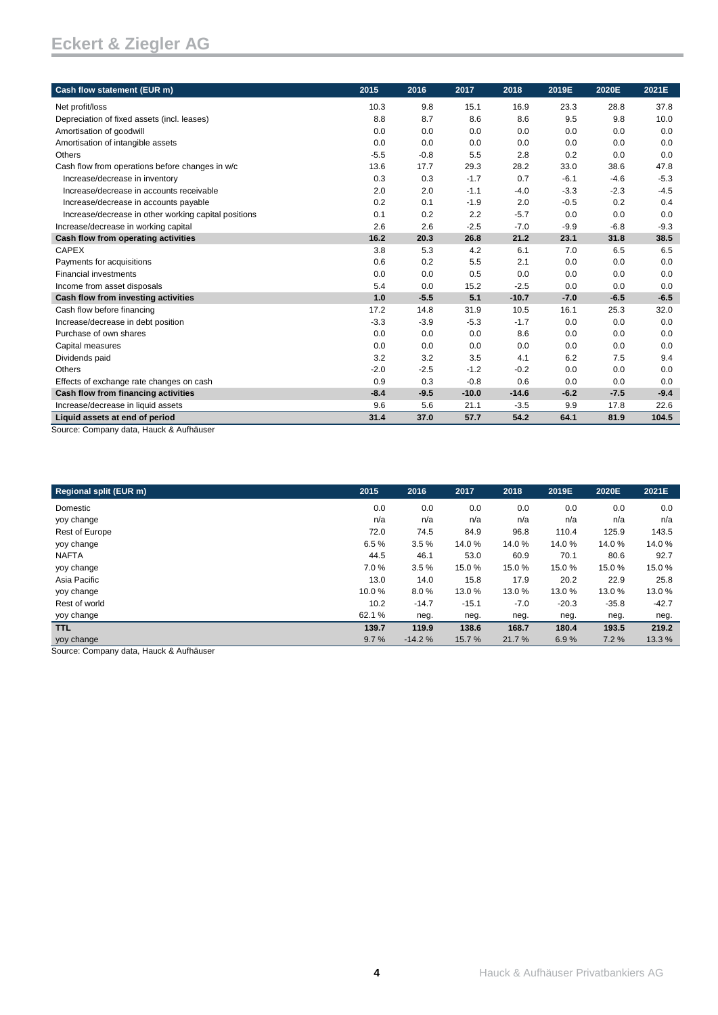| Cash flow statement (EUR m)                                               | 2015   | 2016   | 2017    | 2018    | 2019E  | 2020E  | 2021E  |
|---------------------------------------------------------------------------|--------|--------|---------|---------|--------|--------|--------|
| Net profit/loss                                                           | 10.3   | 9.8    | 15.1    | 16.9    | 23.3   | 28.8   | 37.8   |
| Depreciation of fixed assets (incl. leases)                               | 8.8    | 8.7    | 8.6     | 8.6     | 9.5    | 9.8    | 10.0   |
| Amortisation of goodwill                                                  | 0.0    | 0.0    | 0.0     | 0.0     | 0.0    | 0.0    | 0.0    |
| Amortisation of intangible assets                                         | 0.0    | 0.0    | 0.0     | 0.0     | 0.0    | 0.0    | 0.0    |
| Others                                                                    | $-5.5$ | $-0.8$ | 5.5     | 2.8     | 0.2    | 0.0    | 0.0    |
| Cash flow from operations before changes in w/c                           | 13.6   | 17.7   | 29.3    | 28.2    | 33.0   | 38.6   | 47.8   |
| Increase/decrease in inventory                                            | 0.3    | 0.3    | $-1.7$  | 0.7     | $-6.1$ | $-4.6$ | $-5.3$ |
| Increase/decrease in accounts receivable                                  | 2.0    | 2.0    | $-1.1$  | $-4.0$  | $-3.3$ | $-2.3$ | $-4.5$ |
| Increase/decrease in accounts payable                                     | 0.2    | 0.1    | $-1.9$  | 2.0     | $-0.5$ | 0.2    | 0.4    |
| Increase/decrease in other working capital positions                      | 0.1    | 0.2    | 2.2     | $-5.7$  | 0.0    | 0.0    | 0.0    |
| Increase/decrease in working capital                                      | 2.6    | 2.6    | $-2.5$  | $-7.0$  | $-9.9$ | $-6.8$ | $-9.3$ |
| Cash flow from operating activities                                       | 16.2   | 20.3   | 26.8    | 21.2    | 23.1   | 31.8   | 38.5   |
| <b>CAPEX</b>                                                              | 3.8    | 5.3    | 4.2     | 6.1     | 7.0    | 6.5    | 6.5    |
| Payments for acquisitions                                                 | 0.6    | 0.2    | 5.5     | 2.1     | 0.0    | 0.0    | 0.0    |
| <b>Financial investments</b>                                              | 0.0    | 0.0    | 0.5     | 0.0     | 0.0    | 0.0    | 0.0    |
| Income from asset disposals                                               | 5.4    | 0.0    | 15.2    | $-2.5$  | 0.0    | 0.0    | 0.0    |
| Cash flow from investing activities                                       | 1.0    | $-5.5$ | 5.1     | $-10.7$ | $-7.0$ | $-6.5$ | $-6.5$ |
| Cash flow before financing                                                | 17.2   | 14.8   | 31.9    | 10.5    | 16.1   | 25.3   | 32.0   |
| Increase/decrease in debt position                                        | $-3.3$ | $-3.9$ | $-5.3$  | $-1.7$  | 0.0    | 0.0    | 0.0    |
| Purchase of own shares                                                    | 0.0    | 0.0    | 0.0     | 8.6     | 0.0    | 0.0    | 0.0    |
| Capital measures                                                          | 0.0    | 0.0    | 0.0     | 0.0     | 0.0    | 0.0    | 0.0    |
| Dividends paid                                                            | 3.2    | 3.2    | 3.5     | 4.1     | 6.2    | 7.5    | 9.4    |
| Others                                                                    | $-2.0$ | $-2.5$ | $-1.2$  | $-0.2$  | 0.0    | 0.0    | 0.0    |
| Effects of exchange rate changes on cash                                  | 0.9    | 0.3    | $-0.8$  | 0.6     | 0.0    | 0.0    | 0.0    |
| Cash flow from financing activities                                       | $-8.4$ | $-9.5$ | $-10.0$ | $-14.6$ | $-6.2$ | $-7.5$ | $-9.4$ |
| Increase/decrease in liquid assets                                        | 9.6    | 5.6    | 21.1    | $-3.5$  | 9.9    | 17.8   | 22.6   |
| Liquid assets at end of period<br>Course: Company data Hough & Authöriser | 31.4   | 37.0   | 57.7    | 54.2    | 64.1   | 81.9   | 104.5  |

Source: Company data, Hauck & Aufhäuser

| <b>Regional split (EUR m)</b>         | 2015  | 2016     | 2017    | 2018   | 2019E   | 2020E   | 2021E   |
|---------------------------------------|-------|----------|---------|--------|---------|---------|---------|
| Domestic                              | 0.0   | 0.0      | 0.0     | 0.0    | 0.0     | 0.0     | 0.0     |
| yoy change                            | n/a   | n/a      | n/a     | n/a    | n/a     | n/a     | n/a     |
| <b>Rest of Europe</b>                 | 72.0  | 74.5     | 84.9    | 96.8   | 110.4   | 125.9   | 143.5   |
| yoy change                            | 6.5%  | 3.5%     | 14.0%   | 14.0%  | 14.0%   | 14.0%   | 14.0%   |
| <b>NAFTA</b>                          | 44.5  | 46.1     | 53.0    | 60.9   | 70.1    | 80.6    | 92.7    |
| yoy change                            | 7.0%  | 3.5%     | 15.0%   | 15.0%  | 15.0%   | 15.0%   | 15.0%   |
| Asia Pacific                          | 13.0  | 14.0     | 15.8    | 17.9   | 20.2    | 22.9    | 25.8    |
| yoy change                            | 10.0% | 8.0%     | 13.0 %  | 13.0%  | 13.0 %  | 13.0%   | 13.0%   |
| Rest of world                         | 10.2  | $-14.7$  | $-15.1$ | $-7.0$ | $-20.3$ | $-35.8$ | $-42.7$ |
| yoy change                            | 62.1% | neg.     | neg.    | neg.   | neg.    | neg.    | neg.    |
| <b>TTL</b>                            | 139.7 | 119.9    | 138.6   | 168.7  | 180.4   | 193.5   | 219.2   |
| yoy change                            | 9.7%  | $-14.2%$ | 15.7%   | 21.7%  | 6.9%    | 7.2%    | 13.3 %  |
| Course Company data Houak 8 Aufhäuser |       |          |         |        |         |         |         |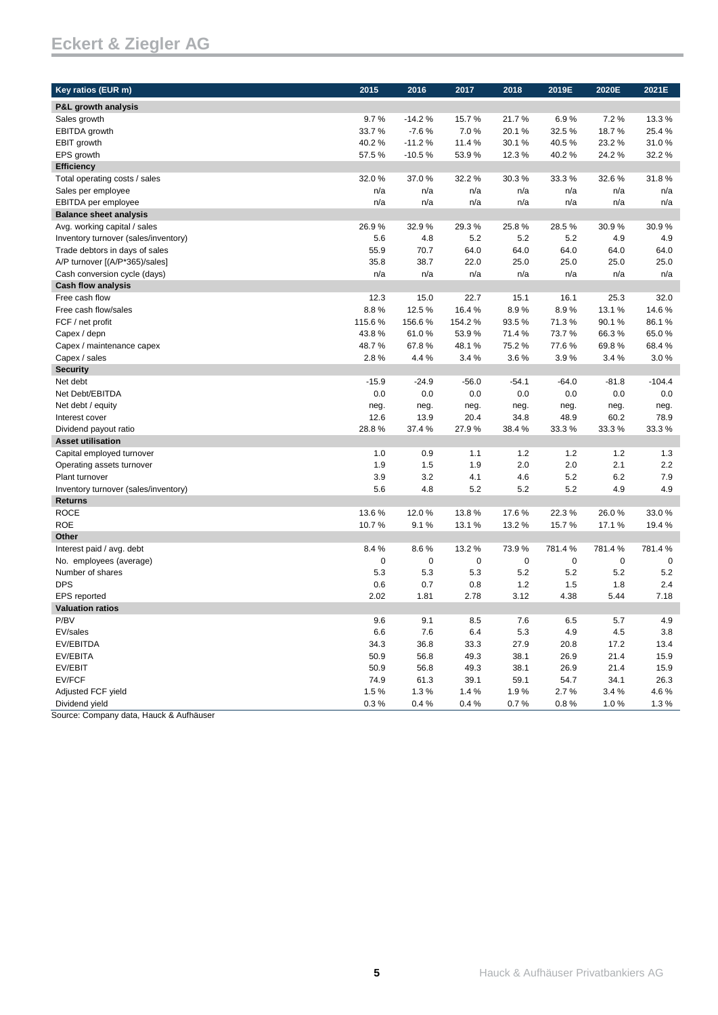| Key ratios (EUR m)                   | 2015    | 2016     | 2017    | 2018      | 2019E    | 2020E       | 2021E    |
|--------------------------------------|---------|----------|---------|-----------|----------|-------------|----------|
| P&L growth analysis                  |         |          |         |           |          |             |          |
| Sales growth                         | 9.7%    | $-14.2%$ | 15.7%   | 21.7%     | 6.9%     | 7.2%        | 13.3%    |
| <b>EBITDA</b> growth                 | 33.7%   | $-7.6%$  | 7.0%    | 20.1%     | 32.5%    | 18.7%       | 25.4%    |
| <b>EBIT</b> growth                   | 40.2%   | $-11.2%$ | 11.4%   | 30.1%     | 40.5%    | 23.2%       | 31.0%    |
| EPS growth                           | 57.5%   | $-10.5%$ | 53.9%   | 12.3%     | 40.2%    | 24.2%       | 32.2%    |
| <b>Efficiency</b>                    |         |          |         |           |          |             |          |
| Total operating costs / sales        | 32.0%   | 37.0%    | 32.2 %  | 30.3%     | 33.3%    | 32.6%       | 31.8%    |
| Sales per employee                   | n/a     | n/a      | n/a     | n/a       | n/a      | n/a         | n/a      |
| EBITDA per employee                  | n/a     | n/a      | n/a     | n/a       | n/a      | n/a         | n/a      |
| <b>Balance sheet analysis</b>        |         |          |         |           |          |             |          |
| Avg. working capital / sales         | 26.9%   | 32.9%    | 29.3%   | 25.8%     | 28.5%    | 30.9%       | 30.9%    |
| Inventory turnover (sales/inventory) | 5.6     | 4.8      | 5.2     | 5.2       | 5.2      | 4.9         | 4.9      |
| Trade debtors in days of sales       | 55.9    | 70.7     | 64.0    | 64.0      | 64.0     | 64.0        | 64.0     |
| A/P turnover [(A/P*365)/sales]       | 35.8    | 38.7     | 22.0    | 25.0      | 25.0     | 25.0        | 25.0     |
| Cash conversion cycle (days)         | n/a     | n/a      | n/a     | n/a       | n/a      | n/a         | n/a      |
| <b>Cash flow analysis</b>            |         |          |         |           |          |             |          |
| Free cash flow                       | 12.3    | 15.0     | 22.7    | 15.1      | 16.1     | 25.3        | 32.0     |
| Free cash flow/sales                 | 8.8%    | 12.5%    | 16.4%   | 8.9%      | 8.9%     | 13.1%       | 14.6%    |
| FCF / net profit                     | 115.6%  | 156.6%   | 154.2%  | 93.5%     | 71.3%    | 90.1%       | 86.1%    |
| Capex / depn                         | 43.8%   | 61.0%    | 53.9%   | 71.4%     | 73.7%    | 66.3%       | 65.0%    |
| Capex / maintenance capex            | 48.7%   | 67.8%    | 48.1%   | 75.2%     | 77.6%    | 69.8%       | 68.4%    |
| Capex / sales                        | 2.8%    | 4.4 %    | 3.4%    | 3.6%      | 3.9%     | 3.4%        | 3.0%     |
| <b>Security</b>                      |         |          |         |           |          |             |          |
| Net debt                             | $-15.9$ | $-24.9$  | $-56.0$ | $-54.1$   | $-64.0$  | $-81.8$     | $-104.4$ |
| Net Debt/EBITDA                      | 0.0     | 0.0      | 0.0     | 0.0       | 0.0      | 0.0         | 0.0      |
| Net debt / equity                    | neg.    | neg.     | neg.    | neg.      | neg.     | neg.        | neg.     |
| Interest cover                       | 12.6    | 13.9     | 20.4    | 34.8      | 48.9     | 60.2        | 78.9     |
| Dividend payout ratio                | 28.8%   | 37.4 %   | 27.9%   | 38.4%     | 33.3%    | 33.3%       | 33.3%    |
| <b>Asset utilisation</b>             |         |          |         |           |          |             |          |
| Capital employed turnover            | 1.0     | 0.9      | 1.1     | 1.2       | $1.2$    | $1.2$       | 1.3      |
| Operating assets turnover            | 1.9     | 1.5      | 1.9     | 2.0       | 2.0      | 2.1         | 2.2      |
| Plant turnover                       | 3.9     | 3.2      | 4.1     | 4.6       | 5.2      | 6.2         | 7.9      |
| Inventory turnover (sales/inventory) | 5.6     | 4.8      | 5.2     | 5.2       | 5.2      | 4.9         | 4.9      |
| <b>Returns</b>                       |         |          |         |           |          |             |          |
| <b>ROCE</b>                          | 13.6%   | 12.0%    | 13.8%   | 17.6%     | 22.3%    | 26.0%       | 33.0%    |
| <b>ROE</b>                           | 10.7%   | 9.1%     | 13.1 %  | 13.2%     | 15.7%    | 17.1%       | 19.4 %   |
| Other                                |         |          |         |           |          |             |          |
| Interest paid / avg. debt            | 8.4%    | 8.6%     | 13.2%   | 73.9%     | 781.4%   | 781.4%      | 781.4%   |
| No. employees (average)              | 0       | 0        | 0       | $\pmb{0}$ | 0        | $\mathbf 0$ | 0        |
| Number of shares                     | 5.3     | 5.3      | 5.3     | 5.2       | 5.2      | 5.2         | 5.2      |
| <b>DPS</b>                           | 0.6     | 0.7      | 0.8     | 1.2       | 1.5      | 1.8         | 2.4      |
| EPS reported                         | 2.02    | 1.81     | 2.78    | 3.12      | 4.38     | 5.44        | 7.18     |
| <b>Valuation ratios</b>              |         |          |         |           |          |             |          |
| P/BV                                 | 9.6     | 9.1      | 8.5     | 7.6       | 6.5      | 5.7         | 4.9      |
| EV/sales                             | 6.6     | 7.6      | 6.4     | 5.3       | 4.9      | 4.5         | 3.8      |
| EV/EBITDA                            | 34.3    | 36.8     | 33.3    | 27.9      | 20.8     | 17.2        | 13.4     |
| EV/EBITA                             | 50.9    | 56.8     | 49.3    | 38.1      | 26.9     | 21.4        | 15.9     |
| EV/EBIT                              | 50.9    | 56.8     | 49.3    | 38.1      | 26.9     | 21.4        | 15.9     |
| EV/FCF                               | 74.9    | 61.3     | 39.1    | 59.1      | 54.7     | 34.1        | 26.3     |
| Adjusted FCF yield                   | 1.5%    | 1.3%     | 1.4%    | 1.9%      | 2.7%     | 3.4%        | 4.6%     |
| Dividend yield                       | 0.3 %   | 0.4%     | 0.4%    | 0.7%      | $0.8 \%$ | 1.0%        | 1.3%     |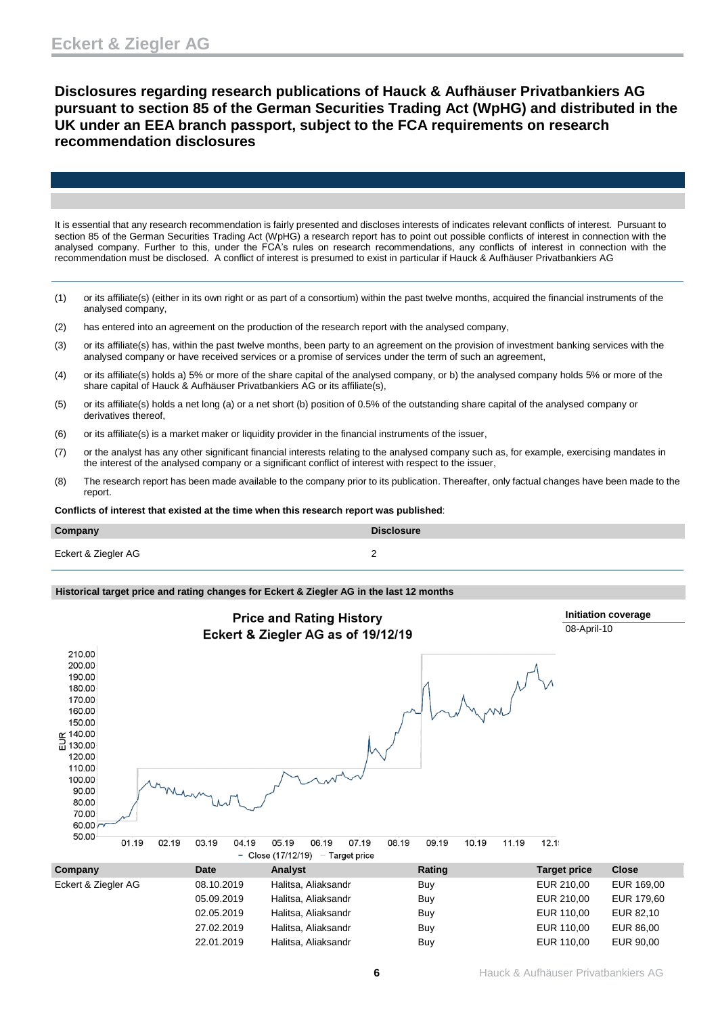**Disclosures regarding research publications of Hauck & Aufhäuser Privatbankiers AG pursuant to section 85 of the German Securities Trading Act (WpHG) and distributed in the UK under an EEA branch passport, subject to the FCA requirements on research recommendation disclosures**

It is essential that any research recommendation is fairly presented and discloses interests of indicates relevant conflicts of interest. Pursuant to section 85 of the German Securities Trading Act (WpHG) a research report has to point out possible conflicts of interest in connection with the analysed company. Further to this, under the FCA's rules on research recommendations, any conflicts of interest in connection with the recommendation must be disclosed. A conflict of interest is presumed to exist in particular if Hauck & Aufhäuser Privatbankiers AG

- (1) or its affiliate(s) (either in its own right or as part of a consortium) within the past twelve months, acquired the financial instruments of the analysed company,
- (2) has entered into an agreement on the production of the research report with the analysed company,
- (3) or its affiliate(s) has, within the past twelve months, been party to an agreement on the provision of investment banking services with the analysed company or have received services or a promise of services under the term of such an agreement,
- (4) or its affiliate(s) holds a) 5% or more of the share capital of the analysed company, or b) the analysed company holds 5% or more of the share capital of Hauck & Aufhäuser Privatbankiers AG or its affiliate(s),
- (5) or its affiliate(s) holds a net long (a) or a net short (b) position of 0.5% of the outstanding share capital of the analysed company or derivatives thereof,
- (6) or its affiliate(s) is a market maker or liquidity provider in the financial instruments of the issuer,
- (7) or the analyst has any other significant financial interests relating to the analysed company such as, for example, exercising mandates in the interest of the analysed company or a significant conflict of interest with respect to the issuer,
- (8) The research report has been made available to the company prior to its publication. Thereafter, only factual changes have been made to the report.

**Conflicts of interest that existed at the time when this research report was published**:

| Company             | <b>Disclosure</b> |
|---------------------|-------------------|
| Eckert & Ziegler AG |                   |

#### **Historical target price and rating changes for Eckert & Ziegler AG in the last 12 months**



| Company             | Date       | <b>Analyst</b>      | Rating | Target price | <b>Close</b> |
|---------------------|------------|---------------------|--------|--------------|--------------|
| Eckert & Ziegler AG | 08.10.2019 | Halitsa, Aliaksandr | Buy    | EUR 210.00   | EUR 169.00   |
|                     | 05.09.2019 | Halitsa, Aliaksandr | Buy    | EUR 210.00   | EUR 179,60   |
|                     | 02.05.2019 | Halitsa, Aliaksandr | Buy    | EUR 110,00   | EUR 82.10    |
|                     | 27.02.2019 | Halitsa, Aliaksandr | Buy    | EUR 110.00   | EUR 86.00    |
|                     | 22.01.2019 | Halitsa, Aliaksandr | Buy    | EUR 110,00   | EUR 90,00    |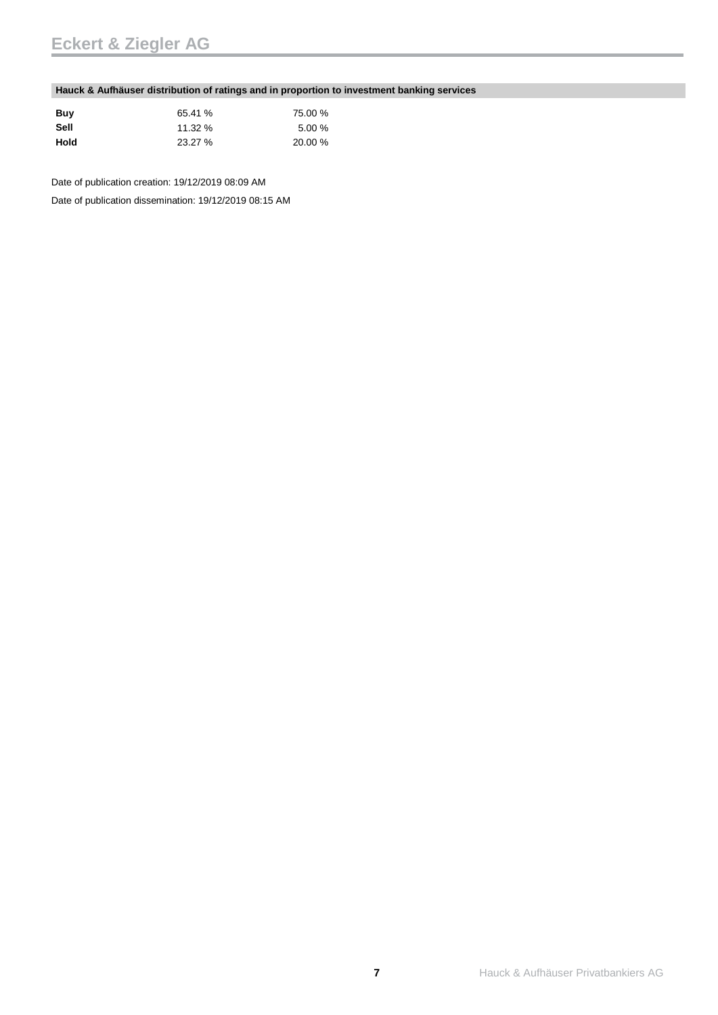### **Hauck & Aufhäuser distribution of ratings and in proportion to investment banking services**

| Buy  | 65.41 % | 75.00 % |
|------|---------|---------|
| Sell | 11.32 % | 5.00%   |
| Hold | 23.27 % | 20.00 % |

Date of publication creation: 19/12/2019 08:09 AM

Date of publication dissemination: 19/12/2019 08:15 AM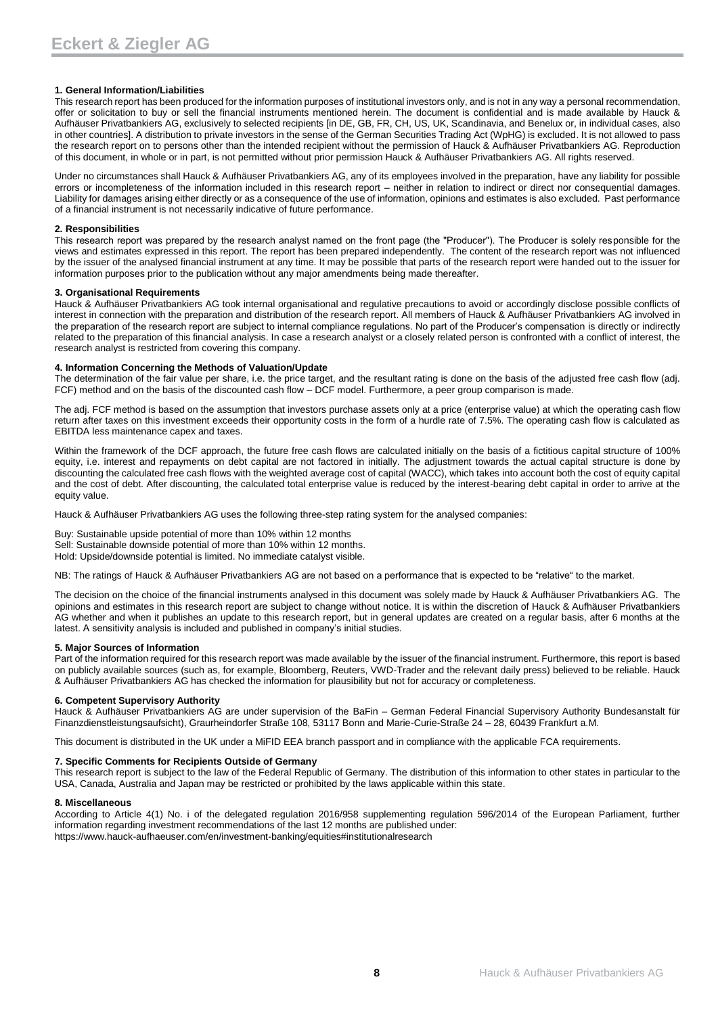#### **1. General Information/Liabilities**

This research report has been produced for the information purposes of institutional investors only, and is not in any way a personal recommendation, offer or solicitation to buy or sell the financial instruments mentioned herein. The document is confidential and is made available by Hauck & Aufhäuser Privatbankiers AG, exclusively to selected recipients [in DE, GB, FR, CH, US, UK, Scandinavia, and Benelux or, in individual cases, also in other countries]. A distribution to private investors in the sense of the German Securities Trading Act (WpHG) is excluded. It is not allowed to pass the research report on to persons other than the intended recipient without the permission of Hauck & Aufhäuser Privatbankiers AG. Reproduction of this document, in whole or in part, is not permitted without prior permission Hauck & Aufhäuser Privatbankiers AG. All rights reserved.

Under no circumstances shall Hauck & Aufhäuser Privatbankiers AG, any of its employees involved in the preparation, have any liability for possible errors or incompleteness of the information included in this research report – neither in relation to indirect or direct nor consequential damages. Liability for damages arising either directly or as a consequence of the use of information, opinions and estimates is also excluded. Past performance of a financial instrument is not necessarily indicative of future performance.

#### **2. Responsibilities**

This research report was prepared by the research analyst named on the front page (the "Producer"). The Producer is solely responsible for the views and estimates expressed in this report. The report has been prepared independently. The content of the research report was not influenced by the issuer of the analysed financial instrument at any time. It may be possible that parts of the research report were handed out to the issuer for information purposes prior to the publication without any major amendments being made thereafter.

#### **3. Organisational Requirements**

Hauck & Aufhäuser Privatbankiers AG took internal organisational and regulative precautions to avoid or accordingly disclose possible conflicts of interest in connection with the preparation and distribution of the research report. All members of Hauck & Aufhäuser Privatbankiers AG involved in the preparation of the research report are subject to internal compliance regulations. No part of the Producer's compensation is directly or indirectly related to the preparation of this financial analysis. In case a research analyst or a closely related person is confronted with a conflict of interest, the research analyst is restricted from covering this company.

#### **4. Information Concerning the Methods of Valuation/Update**

The determination of the fair value per share, i.e. the price target, and the resultant rating is done on the basis of the adjusted free cash flow (adj. FCF) method and on the basis of the discounted cash flow – DCF model. Furthermore, a peer group comparison is made.

The adj. FCF method is based on the assumption that investors purchase assets only at a price (enterprise value) at which the operating cash flow return after taxes on this investment exceeds their opportunity costs in the form of a hurdle rate of 7.5%. The operating cash flow is calculated as EBITDA less maintenance capex and taxes.

Within the framework of the DCF approach, the future free cash flows are calculated initially on the basis of a fictitious capital structure of 100% equity, i.e. interest and repayments on debt capital are not factored in initially. The adjustment towards the actual capital structure is done by discounting the calculated free cash flows with the weighted average cost of capital (WACC), which takes into account both the cost of equity capital and the cost of debt. After discounting, the calculated total enterprise value is reduced by the interest-bearing debt capital in order to arrive at the equity value.

Hauck & Aufhäuser Privatbankiers AG uses the following three-step rating system for the analysed companies:

Buy: Sustainable upside potential of more than 10% within 12 months Sell: Sustainable downside potential of more than 10% within 12 months.

Hold: Upside/downside potential is limited. No immediate catalyst visible.

NB: The ratings of Hauck & Aufhäuser Privatbankiers AG are not based on a performance that is expected to be "relative" to the market.

The decision on the choice of the financial instruments analysed in this document was solely made by Hauck & Aufhäuser Privatbankiers AG. The opinions and estimates in this research report are subject to change without notice. It is within the discretion of Hauck & Aufhäuser Privatbankiers AG whether and when it publishes an update to this research report, but in general updates are created on a regular basis, after 6 months at the latest. A sensitivity analysis is included and published in company's initial studies.

#### **5. Major Sources of Information**

Part of the information required for this research report was made available by the issuer of the financial instrument. Furthermore, this report is based on publicly available sources (such as, for example, Bloomberg, Reuters, VWD-Trader and the relevant daily press) believed to be reliable. Hauck & Aufhäuser Privatbankiers AG has checked the information for plausibility but not for accuracy or completeness.

#### **6. Competent Supervisory Authority**

Hauck & Aufhäuser Privatbankiers AG are under supervision of the BaFin – German Federal Financial Supervisory Authority Bundesanstalt für Finanzdienstleistungsaufsicht), Graurheindorfer Straße 108, 53117 Bonn and Marie-Curie-Straße 24 – 28, 60439 Frankfurt a.M.

This document is distributed in the UK under a MiFID EEA branch passport and in compliance with the applicable FCA requirements.

#### **7. Specific Comments for Recipients Outside of Germany**

This research report is subject to the law of the Federal Republic of Germany. The distribution of this information to other states in particular to the USA, Canada, Australia and Japan may be restricted or prohibited by the laws applicable within this state.

#### **8. Miscellaneous**

According to Article 4(1) No. i of the delegated regulation 2016/958 supplementing regulation 596/2014 of the European Parliament, further information regarding investment recommendations of the last 12 months are published under: https://www.hauck-aufhaeuser.com/en/investment-banking/equities#institutionalresearch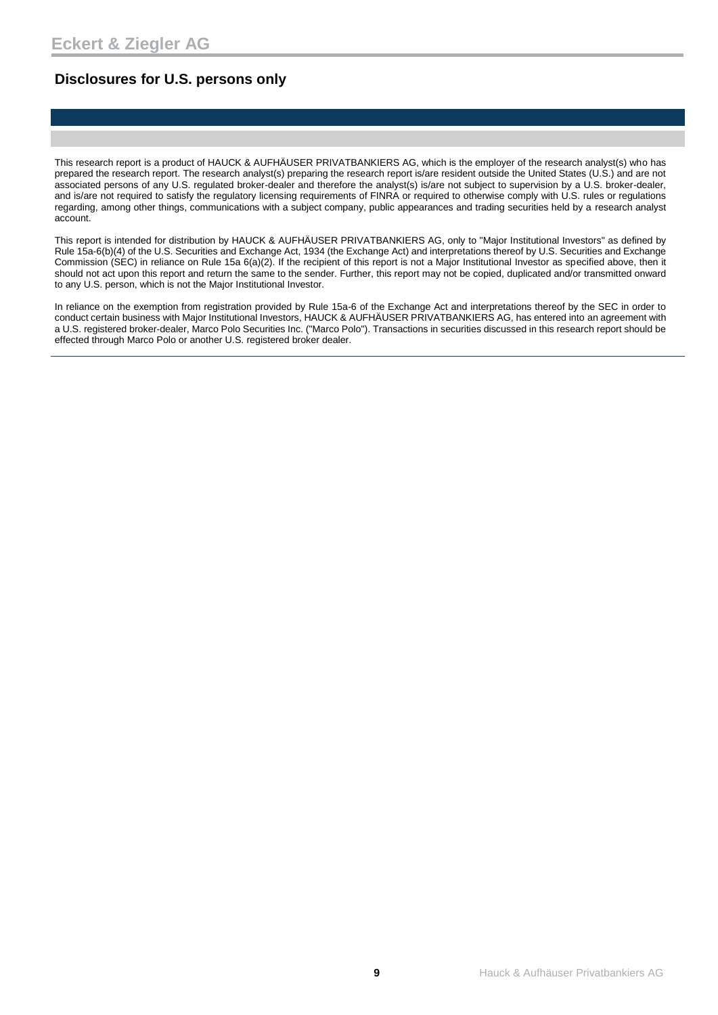### **Disclosures for U.S. persons only**

This research report is a product of HAUCK & AUFHÄUSER PRIVATBANKIERS AG, which is the employer of the research analyst(s) who has prepared the research report. The research analyst(s) preparing the research report is/are resident outside the United States (U.S.) and are not associated persons of any U.S. regulated broker-dealer and therefore the analyst(s) is/are not subject to supervision by a U.S. broker-dealer, and is/are not required to satisfy the regulatory licensing requirements of FINRA or required to otherwise comply with U.S. rules or regulations regarding, among other things, communications with a subject company, public appearances and trading securities held by a research analyst account.

This report is intended for distribution by HAUCK & AUFHÄUSER PRIVATBANKIERS AG, only to "Major Institutional Investors" as defined by Rule 15a-6(b)(4) of the U.S. Securities and Exchange Act, 1934 (the Exchange Act) and interpretations thereof by U.S. Securities and Exchange Commission (SEC) in reliance on Rule 15a 6(a)(2). If the recipient of this report is not a Major Institutional Investor as specified above, then it should not act upon this report and return the same to the sender. Further, this report may not be copied, duplicated and/or transmitted onward to any U.S. person, which is not the Major Institutional Investor.

In reliance on the exemption from registration provided by Rule 15a-6 of the Exchange Act and interpretations thereof by the SEC in order to conduct certain business with Major Institutional Investors, HAUCK & AUFHÄUSER PRIVATBANKIERS AG, has entered into an agreement with a U.S. registered broker-dealer, Marco Polo Securities Inc. ("Marco Polo"). Transactions in securities discussed in this research report should be effected through Marco Polo or another U.S. registered broker dealer.